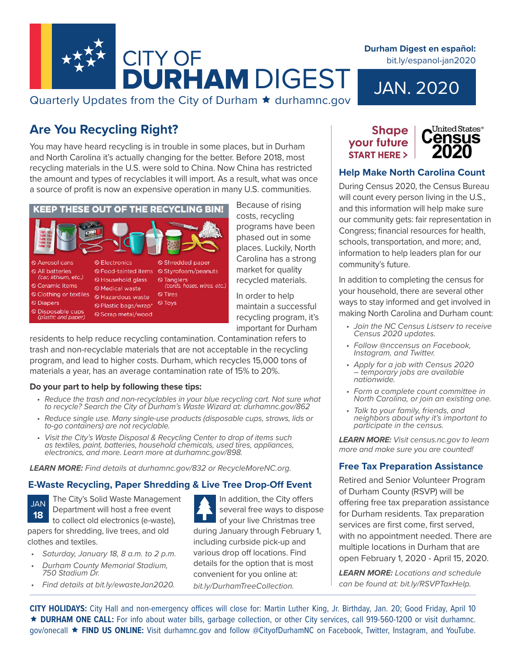

# Quarterly Updates from the City of Durham  $\star$  durhamnc.gov

# **Are You Recycling Right?**

You may have heard recycling is in trouble in some places, but in Durham and North Carolina it's actually changing for the better. Before 2018, most recycling materials in the U.S. were sold to China. Now China has restricted the amount and types of recyclables it will import. As a result, what was once a source of profit is now an expensive operation in many U.S. communities.



costs, recycling programs have been phased out in some places. Luckily, North Carolina has a strong market for quality recycled materials.

Because of rising

In order to help maintain a successful recycling program, it's important for Durham

residents to help reduce recycling contamination. Contamination refers to trash and non-recyclable materials that are not acceptable in the recycling program, and lead to higher costs. Durham, which recycles 15,000 tons of materials a year, has an average contamination rate of 15% to 20%.

#### **Do your part to help by following these tips:**

- Reduce the trash and non-recyclables in your blue recycling cart. Not sure what *to recycle? Search the City of Durham's Waste Wizard at: durhamnc.gov/862*
- *• Reduce single use. Many single-use products (disposable cups, straws, lids or to-go containers) are not recyclable.*
- *• Visit the City's Waste Disposal & Recycling Center to drop of items such as textiles, paint, batteries, household chemicals, used tires, appliances, electronics, and more. Learn more at durhamnc.gov/898.*

*LEARN MORE: Find details at durhamnc.gov/832 or RecycleMoreNC.org.*

#### **E-Waste Recycling, Paper Shredding & Live Tree Drop-Off Event**

The City's Solid Waste Management Department will host a free event to collect old electronics (e-waste), JAN **18**

papers for shredding, live trees, and old clothes and textiles.

- *• Saturday, January 18, 8 a.m. to 2 p.m.*
- *• Durham County Memorial Stadium, 750 Stadium Dr.*
- *• Find details at bit.ly/ewasteJan2020.*

In addition, the City offers several free ways to dispose of your live Christmas tree during January through February 1, including curbside pick-up and various drop off locations. Find details for the option that is most convenient for you online at: *bit.ly/DurhamTreeCollection.*

### **Shape** your future **START HERE >**



# **Help Make North Carolina Count**

JAN. 2020

**Durham Digest en español:**  bit.ly/espanol-jan2020

During Census 2020, the Census Bureau will count every person living in the U.S., and this information will help make sure our community gets: fair representation in Congress; financial resources for health, schools, transportation, and more; and, information to help leaders plan for our community's future.

In addition to completing the census for your household, there are several other ways to stay informed and get involved in making North Carolina and Durham count:

- *• Join the NC Census Listserv to receive Census 2020 updates.*
- *• Follow @nccensus on Facebook, Instagram, and Twitter.*
- *• Apply for a job with Census 2020 – temporary jobs are available nationwide.*
- *• Form a complete count committee in North Carolina, or join an existing one.*
- *• Talk to your family, friends, and neighbors about why it's important to participate in the census.*

*LEARN MORE: Visit census.nc.gov to learn more and make sure you are counted!*

# **Free Tax Preparation Assistance**

Retired and Senior Volunteer Program of Durham County (RSVP) will be offering free tax preparation assistance for Durham residents. Tax preparation services are first come, first served, with no appointment needed. There are multiple locations in Durham that are open February 1, 2020 - April 15, 2020.

*LEARN MORE: Locations and schedule can be found at: bit.ly/RSVPTaxHelp.*

**CITY HOLIDAYS:** City Hall and non-emergency offices will close for: Martin Luther King, Jr. Birthday, Jan. 20; Good Friday, April 10 **DURHAM ONE CALL:** For info about water bills, garbage collection, or other City services, call 919-560-1200 or visit durhamnc. gov/onecall **FIND US ONLINE:** Visit durhamnc.gov and follow @CityofDurhamNC on Facebook, Twitter, Instagram, and YouTube.